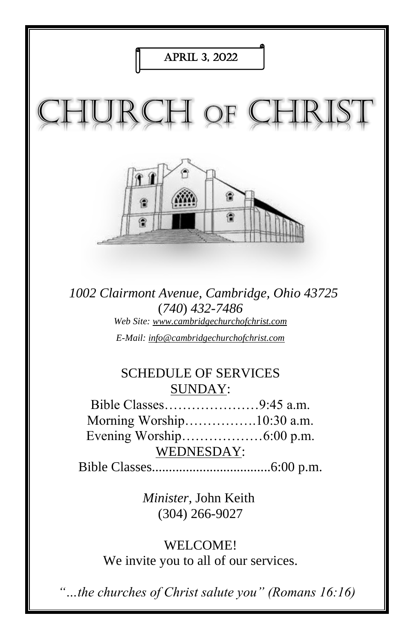

*1002 Clairmont Avenue, Cambridge, Ohio 43725* (*740*) *432-7486 Web Site: www.cambridgechurchofchrist.com E-Mail: info@cambridgechurchofchrist.com*

## SCHEDULE OF SERVICES SUNDAY:

Bible Classes…………………9:45 a.m. Morning Worship…………….10:30 a.m. Evening Worship………………6:00 p.m. WEDNESDAY:

Bible Classes...................................6:00 p.m.

*Minister,* John Keith (304) 266-9027

WELCOME! We invite you to all of our services.

*"…the churches of Christ salute you" (Romans 16:16)*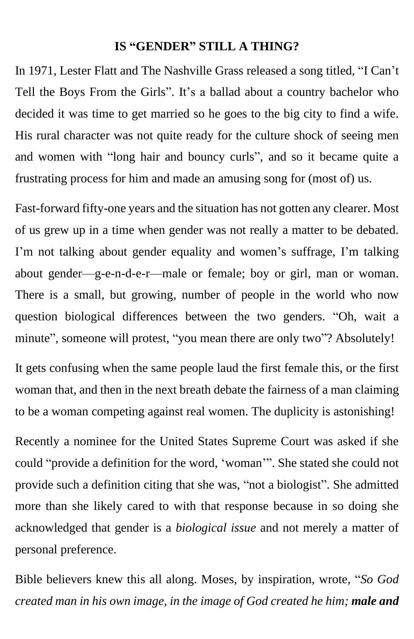#### **IS "GENDER" STILL A THING?**

In 1971, Lester Flatt and The Nashville Grass released a song titled, "I Can't Tell the Boys From the Girls". It's a ballad about a country bachelor who decided it was time to get married so he goes to the big city to find a wife. His rural character was not quite ready for the culture shock of seeing men and women with "long hair and bouncy curls", and so it became quite a frustrating process for him and made an amusing song for (most of) us.

Fast-forward fifty-one years and the situation has not gotten any clearer. Most of us grew up in a time when gender was not really a matter to be debated. I'm not talking about gender equality and women's suffrage, I'm talking about gender—g-e-n-d-e-r—male or female; boy or girl, man or woman. There is a small, but growing, number of people in the world who now question biological differences between the two genders. "Oh, wait a minute", someone will protest, "you mean there are only two"? Absolutely!

It gets confusing when the same people laud the first female this, or the first woman that, and then in the next breath debate the fairness of a man claiming to be a woman competing against real women. The duplicity is astonishing!

Recently a nominee for the United States Supreme Court was asked if she could "provide a definition for the word, 'woman'". She stated she could not provide such a definition citing that she was, "not a biologist". She admitted more than she likely cared to with that response because in so doing she acknowledged that gender is a *biological issue* and not merely a matter of personal preference.

Bible believers knew this all along. Moses, by inspiration, wrote, "*So God created man in his own image, in the image of God created he him; male and*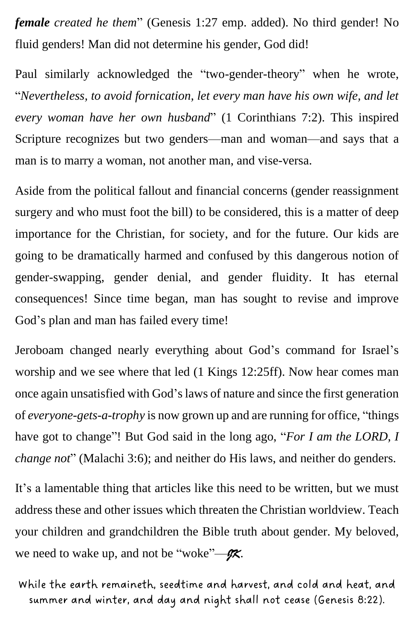*female created he them*" (Genesis 1:27 emp. added). No third gender! No fluid genders! Man did not determine his gender, God did!

Paul similarly acknowledged the "two-gender-theory" when he wrote, "*Nevertheless, to avoid fornication, let every man have his own wife, and let every woman have her own husband*" (1 Corinthians 7:2). This inspired Scripture recognizes but two genders—man and woman—and says that a man is to marry a woman, not another man, and vise-versa.

Aside from the political fallout and financial concerns (gender reassignment surgery and who must foot the bill) to be considered, this is a matter of deep importance for the Christian, for society, and for the future. Our kids are going to be dramatically harmed and confused by this dangerous notion of gender-swapping, gender denial, and gender fluidity. It has eternal consequences! Since time began, man has sought to revise and improve God's plan and man has failed every time!

Jeroboam changed nearly everything about God's command for Israel's worship and we see where that led (1 Kings 12:25ff). Now hear comes man once again unsatisfied with God's laws of nature and since the first generation of *everyone-gets-a-trophy* is now grown up and are running for office, "things have got to change"! But God said in the long ago, "*For I am the LORD, I change not*" (Malachi 3:6); and neither do His laws, and neither do genders.

It's a lamentable thing that articles like this need to be written, but we must address these and other issues which threaten the Christian worldview. Teach your children and grandchildren the Bible truth about gender. My beloved, we need to wake up, and not be "woke"—*JK*.

While the earth remaineth, seedtime and harvest, and cold and heat, and summer and winter, and day and night shall not cease (Genesis 8:22).